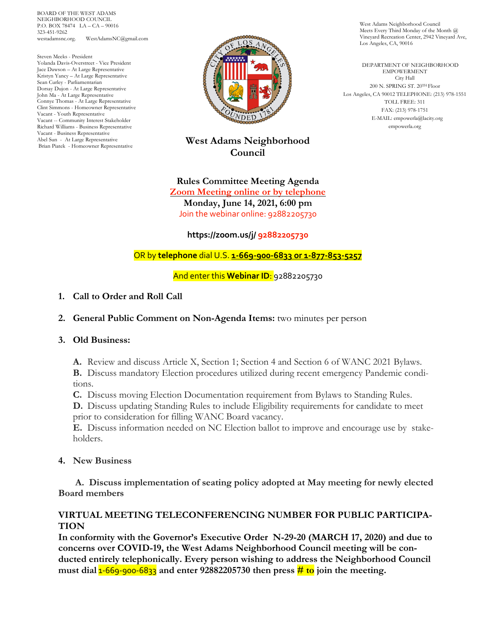BOARD OF THE WEST ADAMS NEIGHBORHOOD COUNCIL P.O. BOX 78474 LA – CA – 90016 323-451-9262 WestAdamsNC@gmail.com

Steven Meeks - President Yolanda Davis-Overstreet - Vice President Jace Dawson – At Large Representative Kristyn Yancy – At Large Representative Sean Curley - Parliamentarian Dorsay Dujon - At Large Representative John Ma - At Large Representative Connye Thomas - At Large Representative Clint Simmons - Homeowner Representative Vacant - Youth Representative Vacant -- Community Interest Stakeholder Richard Williams - Business Representative Vacant - Business Representative Abel Sun - At Large Representative Brian Piatek - Homeowner Representative



## **West Adams Neighborhood Council**

**Rules Committee Meeting Agenda Zoom Meeting online or by telephone Monday, June 14, 2021, 6:00 pm** Join the webinar online: 92882205730

**https://zoom.us/j/ 92882205730**

OR by **telephone** dial U.S. **1-669-900-6833 or 1-877-853-5257**

And enter this **Webinar ID**: 92882205730

## **1. Call to Order and Roll Call**

- **2. General Public Comment on Non-Agenda Items:** two minutes per person
- **3. Old Business:**

**A.** Review and discuss Article X, Section 1; Section 4 and Section 6 of WANC 2021 Bylaws.

**B.** Discuss mandatory Election procedures utilized during recent emergency Pandemic conditions.

**C.** Discuss moving Election Documentation requirement from Bylaws to Standing Rules.

**D.** Discuss updating Standing Rules to include Eligibility requirements for candidate to meet prior to consideration for filling WANC Board vacancy.

**E.** Discuss information needed on NC Election ballot to improve and encourage use by stakeholders.

## **4. New Business**

 **A. Discuss implementation of seating policy adopted at May meeting for newly elected Board members** 

## **VIRTUAL MEETING TELECONFERENCING NUMBER FOR PUBLIC PARTICIPA-TION**

**In conformity with the Governor's Executive Order N-29-20 (MARCH 17, 2020) and due to concerns over COVID-19, the West Adams Neighborhood Council meeting will be conducted entirely telephonically. Every person wishing to address the Neighborhood Council must dial** 1-669-900-6833 **and enter 92882205730 then press # to join the meeting.**

West Adams Neighborhood Council Meets Every Third Monday of the Month @ Vineyard Recreation Center, 2942 Vineyard Ave, Los Angeles, CA, 90016

 DEPARTMENT OF NEIGHBORHOOD EMPOWERMENT City Hall 200 N. SPRING ST. 20TH Floor Los Angeles, CA 90012 TELEPHONE: (213) 978-1551 TOLL FREE: 311 FAX: (213) 978-1751 E-MAIL: empowerla@lacity.org empowerla.org